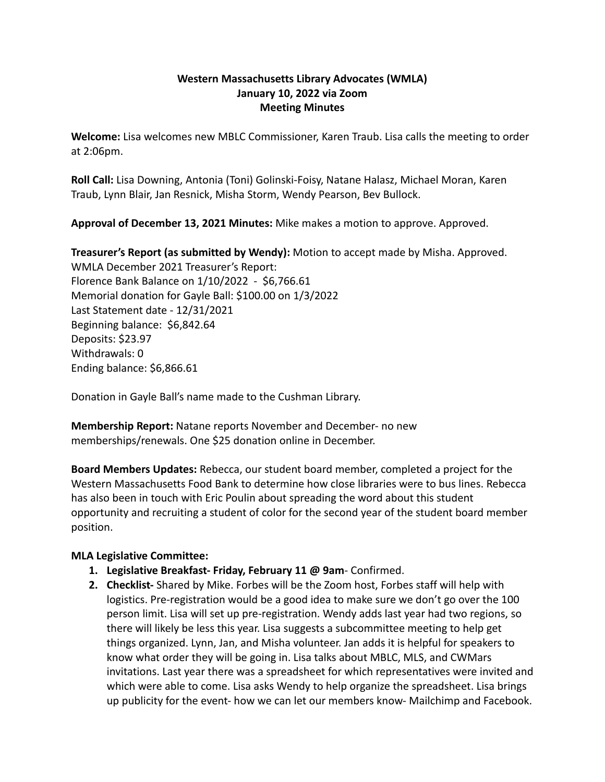## **Western Massachusetts Library Advocates (WMLA) January 10, 2022 via Zoom Meeting Minutes**

**Welcome:** Lisa welcomes new MBLC Commissioner, Karen Traub. Lisa calls the meeting to order at 2:06pm.

**Roll Call:** Lisa Downing, Antonia (Toni) Golinski-Foisy, Natane Halasz, Michael Moran, Karen Traub, Lynn Blair, Jan Resnick, Misha Storm, Wendy Pearson, Bev Bullock.

**Approval of December 13, 2021 Minutes:** Mike makes a motion to approve. Approved.

**Treasurer's Report (as submitted by Wendy):** Motion to accept made by Misha. Approved. WMLA December 2021 Treasurer's Report: Florence Bank Balance on 1/10/2022 - \$6,766.61 Memorial donation for Gayle Ball: \$100.00 on 1/3/2022 Last Statement date - 12/31/2021 Beginning balance: \$6,842.64 Deposits: \$23.97 Withdrawals: 0 Ending balance: \$6,866.61

Donation in Gayle Ball's name made to the Cushman Library.

**Membership Report:** Natane reports November and December- no new memberships/renewals. One \$25 donation online in December.

**Board Members Updates:** Rebecca, our student board member, completed a project for the Western Massachusetts Food Bank to determine how close libraries were to bus lines. Rebecca has also been in touch with Eric Poulin about spreading the word about this student opportunity and recruiting a student of color for the second year of the student board member position.

## **MLA Legislative Committee:**

- **1. Legislative Breakfast- Friday, February 11 @ 9am** Confirmed.
- **2. Checklist-** Shared by Mike. Forbes will be the Zoom host, Forbes staff will help with logistics. Pre-registration would be a good idea to make sure we don't go over the 100 person limit. Lisa will set up pre-registration. Wendy adds last year had two regions, so there will likely be less this year. Lisa suggests a subcommittee meeting to help get things organized. Lynn, Jan, and Misha volunteer. Jan adds it is helpful for speakers to know what order they will be going in. Lisa talks about MBLC, MLS, and CWMars invitations. Last year there was a spreadsheet for which representatives were invited and which were able to come. Lisa asks Wendy to help organize the spreadsheet. Lisa brings up publicity for the event- how we can let our members know- Mailchimp and Facebook.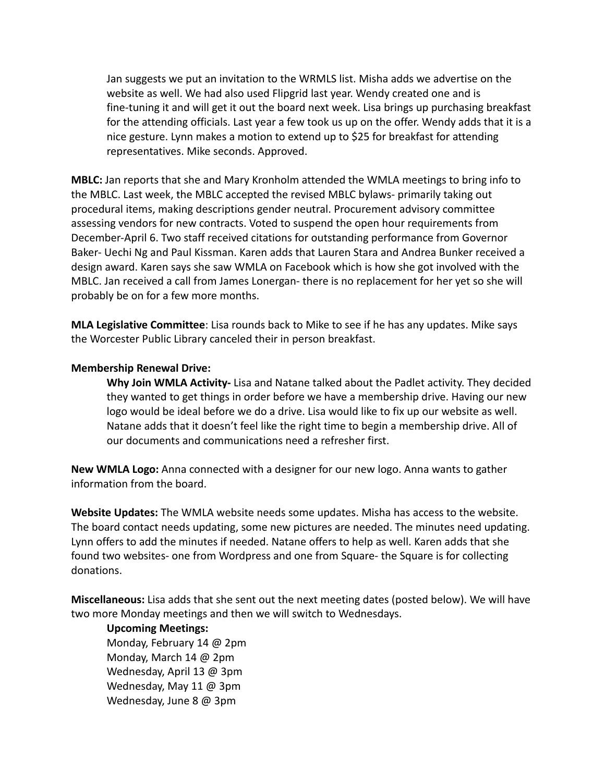Jan suggests we put an invitation to the WRMLS list. Misha adds we advertise on the website as well. We had also used Flipgrid last year. Wendy created one and is fine-tuning it and will get it out the board next week. Lisa brings up purchasing breakfast for the attending officials. Last year a few took us up on the offer. Wendy adds that it is a nice gesture. Lynn makes a motion to extend up to \$25 for breakfast for attending representatives. Mike seconds. Approved.

**MBLC:** Jan reports that she and Mary Kronholm attended the WMLA meetings to bring info to the MBLC. Last week, the MBLC accepted the revised MBLC bylaws- primarily taking out procedural items, making descriptions gender neutral. Procurement advisory committee assessing vendors for new contracts. Voted to suspend the open hour requirements from December-April 6. Two staff received citations for outstanding performance from Governor Baker- Uechi Ng and Paul Kissman. Karen adds that Lauren Stara and Andrea Bunker received a design award. Karen says she saw WMLA on Facebook which is how she got involved with the MBLC. Jan received a call from James Lonergan- there is no replacement for her yet so she will probably be on for a few more months.

**MLA Legislative Committee**: Lisa rounds back to Mike to see if he has any updates. Mike says the Worcester Public Library canceled their in person breakfast.

## **Membership Renewal Drive:**

**Why Join WMLA Activity-** Lisa and Natane talked about the Padlet activity. They decided they wanted to get things in order before we have a membership drive. Having our new logo would be ideal before we do a drive. Lisa would like to fix up our website as well. Natane adds that it doesn't feel like the right time to begin a membership drive. All of our documents and communications need a refresher first.

**New WMLA Logo:** Anna connected with a designer for our new logo. Anna wants to gather information from the board.

**Website Updates:** The WMLA website needs some updates. Misha has access to the website. The board contact needs updating, some new pictures are needed. The minutes need updating. Lynn offers to add the minutes if needed. Natane offers to help as well. Karen adds that she found two websites- one from Wordpress and one from Square- the Square is for collecting donations.

**Miscellaneous:** Lisa adds that she sent out the next meeting dates (posted below). We will have two more Monday meetings and then we will switch to Wednesdays.

## **Upcoming Meetings:**

Monday, February 14 @ 2pm Monday, March 14 @ 2pm Wednesday, April 13 @ 3pm Wednesday, May 11 @ 3pm Wednesday, June 8 @ 3pm